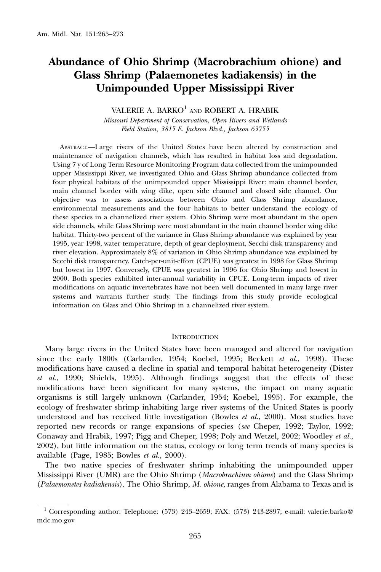# Abundance of Ohio Shrimp (Macrobrachium ohione) and Glass Shrimp (Palaemonetes kadiakensis) in the Unimpounded Upper Mississippi River

VALERIE A. BARKO<sup>1</sup> AND ROBERT A. HRABIK

Missouri Department of Conservation, Open Rivers and Wetlands Field Station, 3815 E. Jackson Blvd., Jackson 63755

ABSTRACT.—Large rivers of the United States have been altered by construction and maintenance of navigation channels, which has resulted in habitat loss and degradation. Using 7 y of Long Term Resource Monitoring Program data collected from the unimpounded upper Mississippi River, we investigated Ohio and Glass Shrimp abundance collected from four physical habitats of the unimpounded upper Mississippi River: main channel border, main channel border with wing dike, open side channel and closed side channel. Our objective was to assess associations between Ohio and Glass Shrimp abundance, environmental measurements and the four habitats to better understand the ecology of these species in a channelized river system. Ohio Shrimp were most abundant in the open side channels, while Glass Shrimp were most abundant in the main channel border wing dike habitat. Thirty-two percent of the variance in Glass Shrimp abundance was explained by year 1995, year 1998, water temperature, depth of gear deployment, Secchi disk transparency and river elevation. Approximately 8% of variation in Ohio Shrimp abundance was explained by Secchi disk transparency. Catch-per-unit-effort (CPUE) was greatest in 1998 for Glass Shrimp but lowest in 1997. Conversely, CPUE was greatest in 1996 for Ohio Shrimp and lowest in 2000. Both species exhibited inter-annual variability in CPUE. Long-term impacts of river modifications on aquatic invertebrates have not been well documented in many large river systems and warrants further study. The findings from this study provide ecological information on Glass and Ohio Shrimp in a channelized river system.

#### **INTRODUCTION**

Many large rivers in the United States have been managed and altered for navigation since the early 1800s (Carlander, 1954; Koebel, 1995; Beckett et al., 1998). These modifications have caused a decline in spatial and temporal habitat heterogeneity (Dister et al., 1990; Shields, 1995). Although findings suggest that the effects of these modifications have been significant for many systems, the impact on many aquatic organisms is still largely unknown (Carlander, 1954; Koebel, 1995). For example, the ecology of freshwater shrimp inhabiting large river systems of the United States is poorly understood and has received little investigation (Bowles  $et al., 2000$ ). Most studies have reported new records or range expansions of species (see Cheper, 1992; Taylor, 1992; Conaway and Hrabik, 1997; Pigg and Cheper, 1998; Poly and Wetzel, 2002; Woodley et al., 2002), but little information on the status, ecology or long term trends of many species is available (Page, 1985; Bowles et al., 2000).

The two native species of freshwater shrimp inhabiting the unimpounded upper Mississippi River (UMR) are the Ohio Shrimp (Macrobrachium ohione) and the Glass Shrimp (Palaemonetes kadiakensis). The Ohio Shrimp, M. ohione, ranges from Alabama to Texas and is

 $1$  Corresponding author: Telephone: (573) 243-2659; FAX: (573) 243-2897; e-mail: valerie.barko@ mdc.mo.gov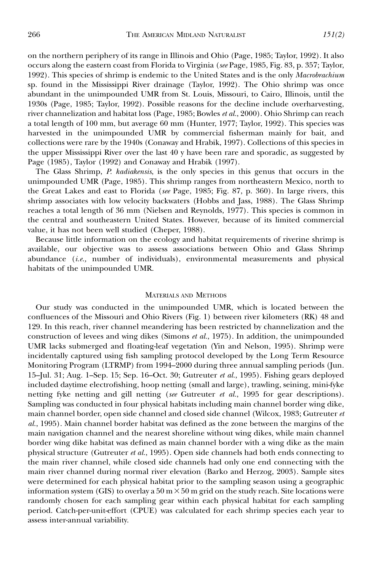on the northern periphery of its range in Illinois and Ohio (Page, 1985; Taylor, 1992). It also occurs along the eastern coast from Florida to Virginia (see Page, 1985, Fig. 83, p. 357; Taylor, 1992). This species of shrimp is endemic to the United States and is the only Macrobrachium sp. found in the Mississippi River drainage (Taylor, 1992). The Ohio shrimp was once abundant in the unimpounded UMR from St. Louis, Missouri, to Cairo, Illinois, until the 1930s (Page, 1985; Taylor, 1992). Possible reasons for the decline include overharvesting, river channelization and habitat loss (Page, 1985; Bowles et al., 2000). Ohio Shrimp can reach a total length of 100 mm, but average 60 mm (Hunter, 1977; Taylor, 1992). This species was harvested in the unimpounded UMR by commercial fisherman mainly for bait, and collections were rare by the 1940s (Conaway and Hrabik, 1997). Collections of this species in the upper Mississippi River over the last 40 y have been rare and sporadic, as suggested by Page (1985), Taylor (1992) and Conaway and Hrabik (1997).

The Glass Shrimp, P. kadiakensis, is the only species in this genus that occurs in the unimpounded UMR (Page, 1985). This shrimp ranges from northeastern Mexico, north to the Great Lakes and east to Florida (see Page, 1985; Fig. 87, p. 360). In large rivers, this shrimp associates with low velocity backwaters (Hobbs and Jass, 1988). The Glass Shrimp reaches a total length of 36 mm (Nielsen and Reynolds, 1977). This species is common in the central and southeastern United States. However, because of its limited commercial value, it has not been well studied (Cheper, 1988).

Because little information on the ecology and habitat requirements of riverine shrimp is available, our objective was to assess associations between Ohio and Glass Shrimp abundance (i.e., number of individuals), environmental measurements and physical habitats of the unimpounded UMR.

## MATERIALS AND METHODS

Our study was conducted in the unimpounded UMR, which is located between the confluences of the Missouri and Ohio Rivers (Fig. 1) between river kilometers (RK) 48 and 129. In this reach, river channel meandering has been restricted by channelization and the construction of levees and wing dikes (Simons et al., 1975). In addition, the unimpounded UMR lacks submerged and floating-leaf vegetation (Yin and Nelson, 1995). Shrimp were incidentally captured using fish sampling protocol developed by the Long Term Resource Monitoring Program (LTRMP) from 1994–2000 during three annual sampling periods (Jun. 15–Jul. 31; Aug. 1–Sep. 15; Sep. 16–Oct. 30; Gutreuter et al., 1995). Fishing gears deployed included daytime electrofishing, hoop netting (small and large), trawling, seining, mini-fyke netting fyke netting and gill netting (see Gutreuter et al., 1995 for gear descriptions). Sampling was conducted in four physical habitats including main channel border wing dike, main channel border, open side channel and closed side channel (Wilcox, 1983; Gutreuter et al., 1995). Main channel border habitat was defined as the zone between the margins of the main navigation channel and the nearest shoreline without wing dikes, while main channel border wing dike habitat was defined as main channel border with a wing dike as the main physical structure (Gutreuter et al., 1995). Open side channels had both ends connecting to the main river channel, while closed side channels had only one end connecting with the main river channel during normal river elevation (Barko and Herzog, 2003). Sample sites were determined for each physical habitat prior to the sampling season using a geographic information system (GIS) to overlay a  $50 \text{ m} \times 50 \text{ m}$  grid on the study reach. Site locations were randomly chosen for each sampling gear within each physical habitat for each sampling period. Catch-per-unit-effort (CPUE) was calculated for each shrimp species each year to assess inter-annual variability.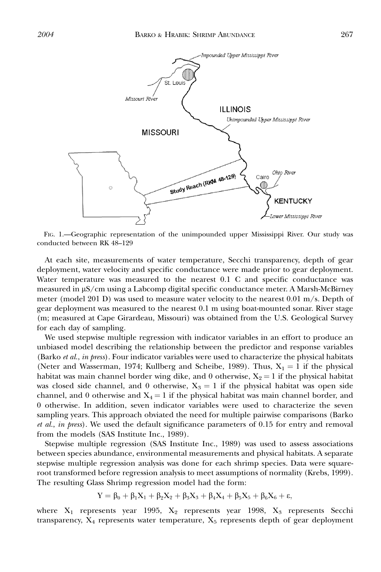

FIG. 1.—Geographic representation of the unimpounded upper Mississippi River. Our study was conducted between RK 48–129

At each site, measurements of water temperature, Secchi transparency, depth of gear deployment, water velocity and specific conductance were made prior to gear deployment. Water temperature was measured to the nearest 0.1 C and specific conductance was measured in  $\mu S/cm$  using a Labcomp digital specific conductance meter. A Marsh-McBirney meter (model 201 D) was used to measure water velocity to the nearest 0.01 m/s. Depth of gear deployment was measured to the nearest 0.1 m using boat-mounted sonar. River stage (m; measured at Cape Girardeau, Missouri) was obtained from the U.S. Geological Survey for each day of sampling.

We used stepwise multiple regression with indicator variables in an effort to produce an unbiased model describing the relationship between the predictor and response variables (Barko et al., in press). Four indicator variables were used to characterize the physical habitats (Neter and Wasserman, 1974; Kullberg and Scheibe, 1989). Thus,  $X_1 = 1$  if the physical habitat was main channel border wing dike, and 0 otherwise,  $X_2 = 1$  if the physical habitat was closed side channel, and 0 otherwise,  $X_3 = 1$  if the physical habitat was open side channel, and 0 otherwise and  $X_4 = 1$  if the physical habitat was main channel border, and 0 otherwise. In addition, seven indicator variables were used to characterize the seven sampling years. This approach obviated the need for multiple pairwise comparisons (Barko et al., in press). We used the default significance parameters of 0.15 for entry and removal from the models (SAS Institute Inc., 1989).

Stepwise multiple regression (SAS Institute Inc., 1989) was used to assess associations between species abundance, environmental measurements and physical habitats. A separate stepwise multiple regression analysis was done for each shrimp species. Data were squareroot transformed before regression analysis to meet assumptions of normality (Krebs, 1999). The resulting Glass Shrimp regression model had the form:

$$
Y = \beta_0 + \beta_1 X_1 + \beta_2 X_2 + \beta_3 X_3 + \beta_4 X_4 + \beta_5 X_5 + \beta_6 X_6 + \epsilon,
$$

where  $X_1$  represents year 1995,  $X_2$  represents year 1998,  $X_3$  represents Secchi transparency,  $X_4$  represents water temperature,  $X_5$  represents depth of gear deployment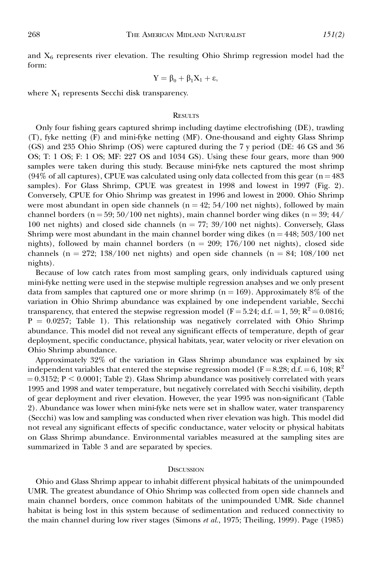and  $X_6$  represents river elevation. The resulting Ohio Shrimp regression model had the form:

$$
Y = \beta_0 + \beta_1 X_1 + \epsilon,
$$

where  $X_1$  represents Secchi disk transparency.

## **RESULTS**

Only four fishing gears captured shrimp including daytime electrofishing (DE), trawling (T), fyke netting (F) and mini-fyke netting (MF). One-thousand and eighty Glass Shrimp (GS) and 235 Ohio Shrimp (OS) were captured during the 7 y period (DE: 46 GS and 36 OS; T: 1 OS; F: 1 OS; MF: 227 OS and 1034 GS). Using these four gears, more than 900 samples were taken during this study. Because mini-fyke nets captured the most shrimp (94% of all captures), CPUE was calculated using only data collected from this gear ( $n = 483$ ) samples). For Glass Shrimp, CPUE was greatest in 1998 and lowest in 1997 (Fig. 2). Conversely, CPUE for Ohio Shrimp was greatest in 1996 and lowest in 2000. Ohio Shrimp were most abundant in open side channels ( $n = 42$ ;  $54/100$  net nights), followed by main channel borders (n = 59; 50/100 net nights), main channel border wing dikes (n = 39; 44/ 100 net nights) and closed side channels ( $n = 77$ ; 39/100 net nights). Conversely, Glass Shrimp were most abundant in the main channel border wing dikes  $(n = 448; 503/100$  net nights), followed by main channel borders ( $n = 209$ ; 176/100 net nights), closed side channels (n = 272; 138/100 net nights) and open side channels (n = 84; 108/100 net nights).

Because of low catch rates from most sampling gears, only individuals captured using mini-fyke netting were used in the stepwise multiple regression analyses and we only present data from samples that captured one or more shrimp ( $n = 169$ ). Approximately 8% of the variation in Ohio Shrimp abundance was explained by one independent variable, Secchi transparency, that entered the stepwise regression model (F = 5.24; d.f. = 1, 59;  $R^2$  = 0.0816;  $P = 0.0257$ ; Table 1). This relationship was negatively correlated with Ohio Shrimp abundance. This model did not reveal any significant effects of temperature, depth of gear deployment, specific conductance, physical habitats, year, water velocity or river elevation on Ohio Shrimp abundance.

Approximately 32% of the variation in Glass Shrimp abundance was explained by six independent variables that entered the stepwise regression model (F = 8.28; d.f. = 6, 108; R<sup>2</sup>  $= 0.3152$ ; P < 0.0001; Table 2). Glass Shrimp abundance was positively correlated with years 1995 and 1998 and water temperature, but negatively correlated with Secchi visibility, depth of gear deployment and river elevation. However, the year 1995 was non-significant (Table 2). Abundance was lower when mini-fyke nets were set in shallow water, water transparency (Secchi) was low and sampling was conducted when river elevation was high. This model did not reveal any significant effects of specific conductance, water velocity or physical habitats on Glass Shrimp abundance. Environmental variables measured at the sampling sites are summarized in Table 3 and are separated by species.

#### **DISCUSSION**

Ohio and Glass Shrimp appear to inhabit different physical habitats of the unimpounded UMR. The greatest abundance of Ohio Shrimp was collected from open side channels and main channel borders, once common habitats of the unimpounded UMR. Side channel habitat is being lost in this system because of sedimentation and reduced connectivity to the main channel during low river stages (Simons et al., 1975; Theiling, 1999). Page (1985)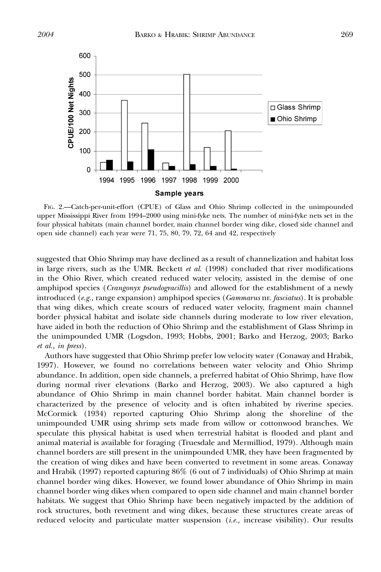

FIG. 2.—Catch-per-unit-effort (CPUE) of Glass and Ohio Shrimp collected in the unimpounded upper Mississippi River from 1994–2000 using mini-fyke nets. The number of mini-fyke nets set in the four physical habitats (main channel border, main channel border wing dike, closed side channel and open side channel) each year were 71, 75, 80, 79, 72, 64 and 42, respectively

suggested that Ohio Shrimp may have declined as a result of channelization and habitat loss in large rivers, such as the UMR. Beckett *et al.*  $(1998)$  concluded that river modifications in the Ohio River, which created reduced water velocity, assisted in the demise of one amphipod species (Crangonyx pseudogracillis) and allowed for the establishment of a newly introduced (e.g., range expansion) amphipod species (Gammarus nr. fasciatus). It is probable that wing dikes, which create scours of reduced water velocity, fragment main channel border physical habitat and isolate side channels during moderate to low river elevation, have aided in both the reduction of Ohio Shrimp and the establishment of Glass Shrimp in the unimpounded UMR (Logsdon, 1993; Hobbs, 2001; Barko and Herzog, 2003; Barko et al., in press).

Authors have suggested that Ohio Shrimp prefer low velocity water (Conaway and Hrabik, 1997). However, we found no correlations between water velocity and Ohio Shrimp abundance. In addition, open side channels, a preferred habitat of Ohio Shrimp, have flow during normal river elevations (Barko and Herzog, 2003). We also captured a high abundance of Ohio Shrimp in main channel border habitat. Main channel border is characterized by the presence of velocity and is often inhabited by riverine species. McCormick (1934) reported capturing Ohio Shrimp along the shoreline of the unimpounded UMR using shrimp sets made from willow or cottonwood branches. We speculate this physical habitat is used when terrestrial habitat is flooded and plant and animal material is available for foraging (Truesdale and Mermilliod, 1979). Although main channel borders are still present in the unimpounded UMR, they have been fragmented by the creation of wing dikes and have been converted to revetment in some areas. Conaway and Hrabik (1997) reported capturing 86% (6 out of 7 individuals) of Ohio Shrimp at main channel border wing dikes. However, we found lower abundance of Ohio Shrimp in main channel border wing dikes when compared to open side channel and main channel border habitats. We suggest that Ohio Shrimp have been negatively impacted by the addition of rock structures, both revetment and wing dikes, because these structures create areas of reduced velocity and particulate matter suspension  $(i.e.,$  increase visibility). Our results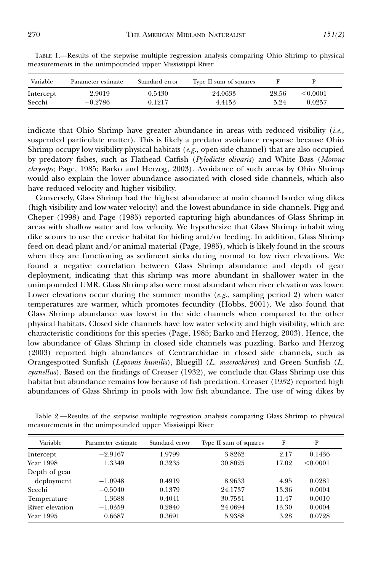| Variable  | Parameter estimate | Standard error | Type II sum of squares |       |          |
|-----------|--------------------|----------------|------------------------|-------|----------|
| Intercept | 2.9019             | 0.5430         | 24.0633                | 28.56 | < 0.0001 |
| Secchi    | $-0.2786$          | 0.1217         | 4.4153                 | 5.24  | 0.0257   |

TABLE 1.—Results of the stepwise multiple regression analysis comparing Ohio Shrimp to physical measurements in the unimpounded upper Mississippi River

indicate that Ohio Shrimp have greater abundance in areas with reduced visibility (*i.e.*, suspended particulate matter). This is likely a predator avoidance response because Ohio Shrimp occupy low visibility physical habitats ( $e.g.,$  open side channel) that are also occupied by predatory fishes, such as Flathead Catfish (Pylodictis olivaris) and White Bass (Morone chrysops; Page, 1985; Barko and Herzog, 2003). Avoidance of such areas by Ohio Shrimp would also explain the lower abundance associated with closed side channels, which also have reduced velocity and higher visibility.

Conversely, Glass Shrimp had the highest abundance at main channel border wing dikes (high visibility and low water velocity) and the lowest abundance in side channels. Pigg and Cheper (1998) and Page (1985) reported capturing high abundances of Glass Shrimp in areas with shallow water and low velocity. We hypothesize that Glass Shrimp inhabit wing dike scours to use the crevice habitat for hiding and/or feeding. In addition, Glass Shrimp feed on dead plant and/or animal material (Page, 1985), which is likely found in the scours when they are functioning as sediment sinks during normal to low river elevations. We found a negative correlation between Glass Shrimp abundance and depth of gear deployment, indicating that this shrimp was more abundant in shallower water in the unimpounded UMR. Glass Shrimp also were most abundant when river elevation was lower. Lower elevations occur during the summer months  $(e.g.,$  sampling period 2) when water temperatures are warmer, which promotes fecundity (Hobbs, 2001). We also found that Glass Shrimp abundance was lowest in the side channels when compared to the other physical habitats. Closed side channels have low water velocity and high visibility, which are characteristic conditions for this species (Page, 1985; Barko and Herzog, 2003). Hence, the low abundance of Glass Shrimp in closed side channels was puzzling. Barko and Herzog (2003) reported high abundances of Centrarchidae in closed side channels, such as Orangespotted Sunfish (Lepomis humilis), Bluegill (L. macrochirus) and Green Sunfish (L. cyanellus). Based on the findings of Creaser (1932), we conclude that Glass Shrimp use this habitat but abundance remains low because of fish predation. Creaser (1932) reported high abundances of Glass Shrimp in pools with low fish abundance. The use of wing dikes by

| Variable        | Parameter estimate | Standard error | Type II sum of squares | F     | P        |
|-----------------|--------------------|----------------|------------------------|-------|----------|
| Intercept       | $-2.9167$          | 1.9799         | 3.8262                 | 2.17  | 0.1436   |
| Year 1998       | 1.3349             | 0.3235         | 30.8025                | 17.02 | < 0.0001 |
| Depth of gear   |                    |                |                        |       |          |
| deployment      | $-1.0948$          | 0.4919         | 8.9633                 | 4.95  | 0.0281   |
| Secchi          | $-0.5040$          | 0.1379         | 24.1737                | 13.36 | 0.0004   |
| Temperature     | 1.3688             | 0.4041         | 30.7531                | 11.47 | 0.0010   |
| River elevation | $-1.0359$          | 0.2840         | 24.0694                | 13.30 | 0.0004   |
| Year 1995       | 0.6687             | 0.3691         | 5.9388                 | 3.28  | 0.0728   |

Table 2.—Results of the stepwise multiple regression analysis comparing Glass Shrimp to physical measurements in the unimpounded upper Mississippi River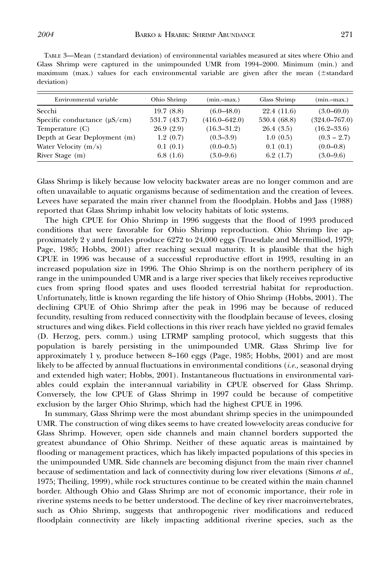| TABLE 3—Mean ( $\pm$ standard deviation) of environmental variables measured at sites where Ohio and |  |
|------------------------------------------------------------------------------------------------------|--|
| Glass Shrimp were captured in the unimpounded UMR from 1994–2000. Minimum (min.) and                 |  |
| maximum (max.) values for each environmental variable are given after the mean ( $\pm$ standard      |  |
| deviation)                                                                                           |  |

| Environmental variable            | Ohio Shrimp  | (min.-max.)       | Glass Shrimp | $(min-max.)$      |
|-----------------------------------|--------------|-------------------|--------------|-------------------|
| Secchi                            | 19.7(8.8)    | $(6.0 - 48.0)$    | 22.4 (11.6)  | $(3.0 - 69.0)$    |
| Specific conductance $(\mu S/cm)$ | 531.7 (43.7) | $(416.0 - 642.0)$ | 530.4 (68.8) | $(324.0 - 767.0)$ |
| Temperature (C)                   | 26.9(2.9)    | $(16.3 - 31.2)$   | 26.4(3.5)    | $(16.2 - 33.6)$   |
| Depth at Gear Deployment (m)      | 1.2(0.7)     | $(0.3 - 3.9)$     | 1.0(0.5)     | $(0.3 - 2.7)$     |
| Water Velocity $(m/s)$            | 0.1(0.1)     | $(0.0-0.5)$       | 0.1(0.1)     | $(0.0-0.8)$       |
| River Stage (m)                   | 6.8(1.6)     | $(3.0 - 9.6)$     | 6.2(1.7)     | $(3.0 - 9.6)$     |

Glass Shrimp is likely because low velocity backwater areas are no longer common and are often unavailable to aquatic organisms because of sedimentation and the creation of levees. Levees have separated the main river channel from the floodplain. Hobbs and Jass (1988) reported that Glass Shrimp inhabit low velocity habitats of lotic systems.

The high CPUE for Ohio Shrimp in 1996 suggests that the flood of 1993 produced conditions that were favorable for Ohio Shrimp reproduction. Ohio Shrimp live approximately 2 y and females produce 6272 to 24,000 eggs (Truesdale and Mermilliod, 1979; Page, 1985; Hobbs, 2001) after reaching sexual maturity. It is plausible that the high CPUE in 1996 was because of a successful reproductive effort in 1993, resulting in an increased population size in 1996. The Ohio Shrimp is on the northern periphery of its range in the unimpounded UMR and is a large river species that likely receives reproductive cues from spring flood spates and uses flooded terrestrial habitat for reproduction. Unfortunately, little is known regarding the life history of Ohio Shrimp (Hobbs, 2001). The declining CPUE of Ohio Shrimp after the peak in 1996 may be because of reduced fecundity, resulting from reduced connectivity with the floodplain because of levees, closing structures and wing dikes. Field collections in this river reach have yielded no gravid females (D. Herzog, pers. comm.) using LTRMP sampling protocol, which suggests that this population is barely persisting in the unimpounded UMR. Glass Shrimp live for approximately 1 y, produce between 8–160 eggs (Page, 1985; Hobbs, 2001) and are most likely to be affected by annual fluctuations in environmental conditions (*i.e.*, seasonal drying and extended high water; Hobbs, 2001). Instantaneous fluctuations in environmental variables could explain the inter-annual variability in CPUE observed for Glass Shrimp. Conversely, the low CPUE of Glass Shrimp in 1997 could be because of competitive exclusion by the larger Ohio Shrimp, which had the highest CPUE in 1996.

In summary, Glass Shrimp were the most abundant shrimp species in the unimpounded UMR. The construction of wing dikes seems to have created low-velocity areas conducive for Glass Shrimp. However, open side channels and main channel borders supported the greatest abundance of Ohio Shrimp. Neither of these aquatic areas is maintained by flooding or management practices, which has likely impacted populations of this species in the unimpounded UMR. Side channels are becoming disjunct from the main river channel because of sedimentation and lack of connectivity during low river elevations (Simons et al., 1975; Theiling, 1999), while rock structures continue to be created within the main channel border. Although Ohio and Glass Shrimp are not of economic importance, their role in riverine systems needs to be better understood. The decline of key river macroinvertebrates, such as Ohio Shrimp, suggests that anthropogenic river modifications and reduced floodplain connectivity are likely impacting additional riverine species, such as the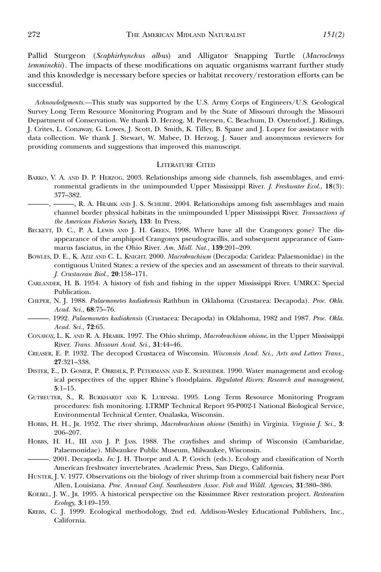Pallid Sturgeon (Scaphirhynchus albus) and Alligator Snapping Turtle (Macroclemys temminckii). The impacts of these modifications on aquatic organisms warrant further study and this knowledge is necessary before species or habitat recovery/restoration efforts can be successful.

Acknowledgments.—This study was supported by the U.S. Army Corps of Engineers/U.S. Geological Survey Long Term Resource Monitoring Program and by the State of Missouri through the Missouri Department of Conservation. We thank D. Herzog, M. Petersen, C. Beachum, D. Ostendorf, J. Ridings, J. Crites, L. Conaway, G. Lowes, J. Scott, D. Smith, K. Tilley, B. Spane and J. Lopez for assistance with data collection. We thank J. Stewart, W. Mabee, D. Herzog, J. Sauer and anonymous reviewers for providing comments and suggestions that improved this manuscript.

### LITERATURE CITED

- BARKO, V. A. AND D. P. HERZOG. 2003. Relationships among side channels, fish assemblages, and environmental gradients in the unimpounded Upper Mississippi River. J. Freshwater Ecol., 18(3): 377–382.
- ———, ———, R. A. HRABIK AND J. S. SCHEIBE. 2004. Relationships among fish assemblages and main channel border physical habitats in the unimpounded Upper Mississippi River. Transactions of the American Fisheries Society, 133: In Press.
- BECKETT, D. C., P. A. LEWIS AND J. H. GREEN. 1998. Where have all the Crangonyx gone? The disappearance of the amphipod Crangonyx pseudogracillis, and subsequent appearance of Gammarus fasciatus, in the Ohio River. Am. Midl. Nat., 139:201–209.
- BOWLES, D. E., K. AZIZ AND C. L. KNIGHT. 2000. Macrobrachium (Decapoda: Caridea: Palaemonidae) in the contiguous United States: a review of the species and an assessment of threats to their survival. J. Crustacean Biol., 20:158–171.
- CARLANDER, H. B. 1954. A history of fish and fishing in the upper Mississippi River. UMRCC Special Publication.
- CHEPER, N. J. 1988. Palaemonetes kadiakensis Rathbun in Oklahoma (Crustacea: Decapoda). Proc. Okla. Acad. Sci., 68:75–76.
- ———. 1992. Palaemonetes kadiakensis (Crustacea: Decapoda) in Oklahoma, 1982 and 1987. Proc. Okla. Acad. Sci., 72:65.
- CONAWAY, L. K. AND R. A. HRABIK. 1997. The Ohio shrimp, Macrobrachium ohione, in the Upper Mississippi River. Trans. Missouri Acad. Sci., 31:44–46.
- CREASER, E. P. 1932. The decopod Crustacea of Wisconsin. Wisconsin Acad. Sci., Arts and Letters Trans., 27:321–338.
- DISTER, E., D. GOMER, P. OBRDILK, P. PETERMANN AND E. SCHNEIDER. 1990. Water management and ecological perspectives of the upper Rhine's floodplains. Regulated Rivers: Research and management, 5:1–15.
- GUTREUTER, S., R. BURKHARDT AND K. LUBINSKI. 1995. Long Term Resource Monitoring Program procedures: fish monitoring. LTRMP Technical Report 95-P002-1 National Biological Service, Environmental Technical Center, Onalaska, Wisconsin.
- HOBBS, H. H., Jr. 1952. The river shrimp, Macrobrachium ohione (Smith) in Virginia. Virginia J. Sci., 3: 206–207.
- HOBBS, H. H., III AND J. P. JASS. 1988. The crayfishes and shrimp of Wisconsin (Cambaridae, Palaemonidae). Milwaukee Public Museum, Milwaukee, Wisconsin.
- ———. 2001. Decapoda. In: J. H. Thorpe and A. P. Covich (eds.). Ecology and classification of North American freshwater invertebrates. Academic Press, San Diego, California.
- HUNTER, J. V. 1977. Observations on the biology of river shrimp from a commercial bait fishery near Port Allen, Louisiana. Proc. Annual Conf. Southeastern Assoc. Fish and Wildl. Agencies, 31:380–386.
- KOEBEL, J. W., JR. 1995. A historical perspective on the Kissimmee River restoration project. Restoration Ecology, 3:149–159.
- KREBS, C. J. 1999. Ecological methodology, 2nd ed. Addison-Wesley Educational Publishers, Inc., California.